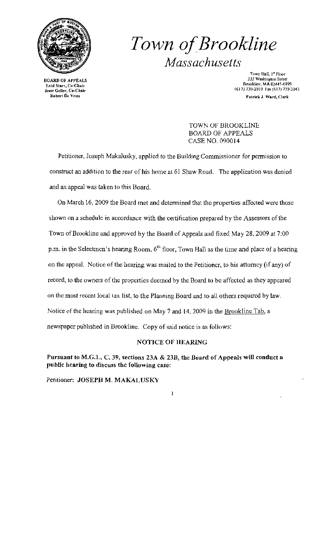

# *Town afBrookline Massachusetts*

Enid Starr, Co-Chair<br>Jesse Geller, Co-Chair

Town Hall, J" Floor EXARD OF APPEALS 333 Washington Super<br>Enid Starr, Co-Chair<br>Enid Starr, Co-Chair (617) 730-2010 Fax (617) 730-2010<br>se Geller, Co-Chair<br>Robert De Vries Goldens Patrick J. Ward, Clerk

> TOWN OF BROOKLINE BOARD OF APPEALS CASE NO. 090014

Petitioner, Joseph MakaJusky, applied to the Building Commissioner for permission to construct an addition to the rear of his home at 61 Shaw Road. The application was denied and an appeal was taken to this Board.

On March 16, 2009 the Board met and detennined that the properties affected were those shown on a schedule in accordance with the certification prepared by the Assessors of the Town of Brookline and approved by the Board of Appeals and fixed May 28, 2009 at 7:00 p.m. in the Selectmen's hearing Room.  $6<sup>th</sup>$  floor, Town Hall as the time and place of a hearing on the appeal. Notice of the hearing was mailed to the Petitioner. to his attorney (if any) of record, to the owners of the properties deemed by the Board to be affected as they appeared on the most recent local tax list, to the Planning Board and to all others required by law. Notice of the hearing was published on May 7 and *14,2009* in the Brookline Tab, a newspaper published in Brookline. Copy of said notice is as follows:

### NOTICE OF HEARING

 $\mathbf{I}$ 

Pursuant to M.G.L. C. 39, sections 23A & 23B, the Board of Appeals will conduct a public hcaring to discuss thc following case:

Petitioner: JOSEPH M. MAKALUSKV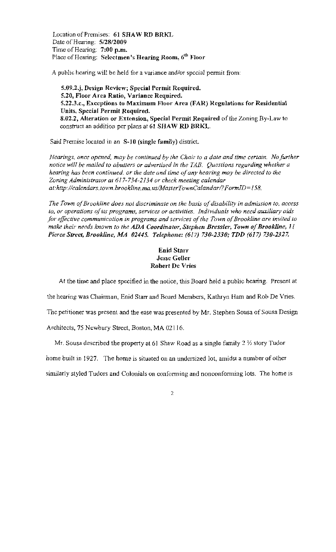Location of Premises: 61 SHAW RD BRKL Date of Hearing: 5/28/2009 Time of Hearing:  $7:00$  p.m. Place of Hearing: Selectmen's Hearing Room,  $6<sup>th</sup>$  Floor

A public hcaring will be held for a variance and/or special permit from:

S.09.2.j, Design Review; Special Permit Required. 5.20, Floor Area Ratio, Variance Required. S.22.3.c., Exceptions to Maximum Floor Area (FAR) Regulations for Residential Units, Special Permit Required. 8.02.2, Alteration or Extension, Special Permit Required of the Zoning By~Law to construct an addition per plans at 61 SHAW RD BRKL.

Said Premise located in an S-10 (single family) district.

*Hearings. once opened, may be continued by the Chair* [0 *a date and time certain. Nofurther notice will be mailed to abutters or advertised in the TAB. Questions regarding whether a hearing has been continued, or the date and time ofany hearing may be directed to the Zoning Administracor at* 617-734~2134 *or check meeting calendar*  at:http://calendars.town.brookline.ma.us/MasterTownCalandar/?FormID=158.

The Town of Brookline does not discriminate on the basis of disability in admission to, access to, or operations of its programs, services or activities. Individuals who need auxiliary aids *for effective communication in programs and services of the Town of Brookline are invited to make their needs known to the ADA Coordinator, Stephen Bressler, Town of Brookline, 11 Pierce Street, Brookline, MA 02445. Telepholle:* (617) *730-2330; TDD* (617) *730-2327.* 

# Enid Starr Jesse GeUer Robert Dc Vries

At the time and place specified in the notice, this Board held a public hearing. Present at

the hearing was Chairman, Enid Starr and Board Members, Kathryn Ham and Rob De Vries,

The petitioner was present and the ease was presented by Mr. Stephen Sousa of Sousa Design

Architects, 75 Newbury Street, Boston, MA 02116,

Mr. Sousa described the property at 61 Shaw Road as a single family  $2\frac{1}{2}$  story Tudor

home built in 1927. The home is situated on an undersized lot, amidst a number of other

similarly styled Tudors and Colonials on conforming and nonconforming lots. The home is

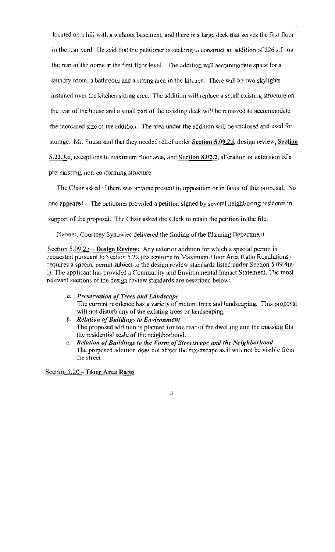located on a hill with a walkout basement, and there is a large deck that serves the first floor in the rear yard. He said that the petitioner is seeking to construct an addition of226 s.f. on the rear of the home at the first floor level. The addition will accommodate space for a laundry room, a bathroom and a sitting area in the kitchen. There will be two skylights installed over the kitchcn sitting area. The addition will replace a small existing structure on the rear of the house and a small part of the existing deck will be removed to accommodate the increased size of the addition. The area under the addition will be enclosed and used for storage. Mr. Sousa said that they needed relief under Section 5.09.2.j, design review, Section 5.22.3.c, exceptions to maximum floor area, and Section  $8.02.2$ , alteration or extension of a pre-existing, non-conforming structure.

The Chair asked if there was anyone present in opposition or in favor of this proposal. No one appeared. The petitioner provided a petition signed by scveral neighboring residents in support of the proposal. The Chair asked the Clerk to retain the petition in the file.

Planner, Courtney Synowiec delivered the finding of the Planning Department.

Seetion  $5.09.2.i - Design Review: Any exterior addition for which a special permit is$ requested pursuant to Section 5.22 (Exceptions to Maximum Floor Area Ratio Regulations) requires a special permit subject to the design review standards listed under Section 5.09.4(a-1). The applicant has provided a Community and Environmental Impact Statement. The most relevant sections of the design review standards are described below:

- *a. Preservation ofTrees and Landscape*  The current residence has a variety of mature lrees and landscaping. This proposal will not disturb any of the existing trees or landscaping.
- *b. Relation ofBuildings to En vironment*  The proposed addition is planned for the rear of the dwelling and the massing fits the residential scale of the neighborhood.
- e. *Relation ofBuildings to the Form ofStrel'tscape and the Neighborhood*  The proposed addition does not affect tbe streetseape as it will not be visible from the street

Section 5.20 - Floor Area Ratio

#### 3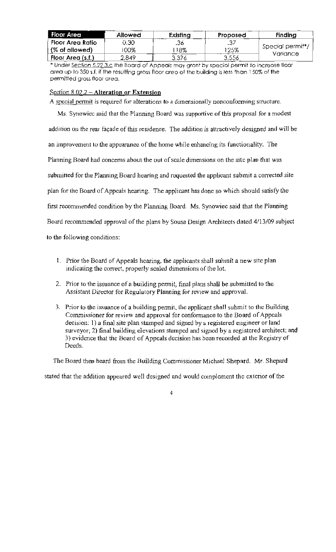| Floor Area        | Allowed | Existing | Proposed | <b>Finding</b>                            |
|-------------------|---------|----------|----------|-------------------------------------------|
| Floor Area Ratio  | 0.30    | .36.     |          | Special permit <sup>*</sup> /<br>Variance |
| (% of allowed)    | 00%     | 18%      | 125%     |                                           |
| Floor Area (s.f.) | 2,849   | 3,376    | 3,556    |                                           |

\* Under Section 5.22.3.c the Board of Appeals may grant by speciol permit to increose floor area up to 350 s.f. if the resulting gross floor area of the building is less than 150% of the permitted gross floor area.

## Section  $8.02.2 -$  Alteration or Extension

A special permit is required for alterations to a dimensionally nonconforming structure. Ms. Synowiec said that the Planning Board was supportive of this proposal for a modest addition on the rear façade of this residence. The addition is attractively designed and will be an improvement to the appearance of the home while enhancing its functionality. The Planning Board had concerns about the out of scale dimensions on the site plan that was submitted for the Planning Board hearing and requested the applicant submit a corrected site plan for the Board of Appeals hearing. The applicant has done so which should satisfy the first recommended condition by the Planning Board. Ms. Synowiec said that the Planning Board recommended approval of the plans by Sousa Design Architects dated 4/13/09 subject to the following conditions:

- 1. Prior the Board of Appeals hearing, the applicants shall submit a new site plan indicating the correct, properly scaled dimensions of the lot.
- 2. Prior to the issuance of a building permit, final plans shall be submitted to the Assistant Director for Regulatory Planning for review and approval.
- 3. Prior to the issuance of a building permit, the applicant shall suhmit to the Building Commissioner for review and approval for conformance to the Board of Appeals decision: 1) a final site plan stamped and signed by a registered engineer or land surveyor; 2) final building elevations stamped and signed by a registered architect; and 3) evidence that the Board of Appeals decision has been recorded at the Registry of Deeds.

The Board then heard from the Building Commissioner Michael Shepard. Mr. Shepard

stated that the addition appeared well designed and would complement the exterior of the

 $\overline{4}$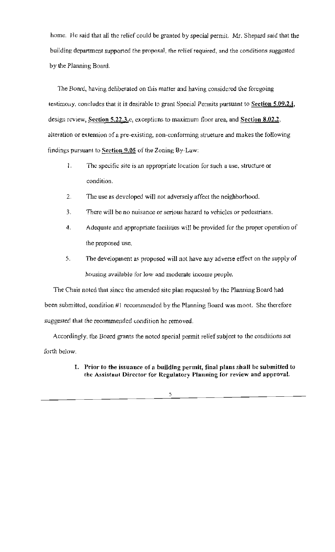home. He said that all the relief could be granted by special permit. Mr. Shepard said that the building department supported the proposal, the relief required, and the conditions suggested by the Planning Board.

The Board, having deliberated on this matter and having considered the foregoing testimony, concludes that it is desirable to grant Special Permits pursuant to Section 5.09.2.j, design review, Section 5.22.3.c, exceptions to maximum floor area, and Section  $8.02.2$ , alteration or extension of a pre-existing, non-conforming strueture and makes the following findings pursuant to Section  $9.05$  of the Zoning By-Law:

- 1. The specific site is an appropriate location for such a use, structure or condition.
- 2. The use as developed will not adversely affect the neighborhood.
- 3. There will be no nuisance or serious hazard to vehicles or pedestrians.
- 4. Adequate and appropriate facilities will be provided for the proper operation of the proposed use.
- 5. The development as proposed will not have any adverse effect on the supply of housing available for low and moderate income people.

The Chair noted that since the amended site plan requested by the Planning Board had been submitted, condition #l rccommended by the Planning Board was moot. She therefore suggested that the recommended condition he removed.

Accordingly, the Board grants the noted special permit relief subjeet to the conditions set forth below.

> 1. Prior to the issuance of a building permit, final plans shall be submitted to the Assistaut Director for Regulatory Planning for review and approval.